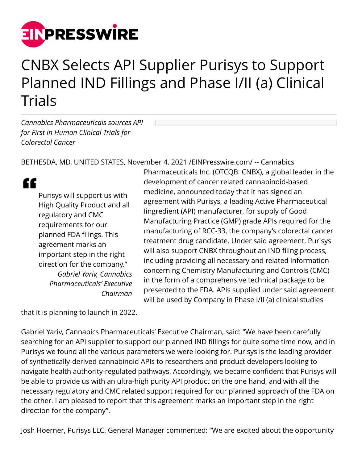

# CNBX Selects API Supplier Purisys to Support Planned IND Fillings and Phase I/II (a) Clinical **Trials**

*Cannabics Pharmaceuticals sources API for First in Human Clinical Trials for Colorectal Cancer*

BETHESDA, MD, UNITED STATES, November 4, 2021 /[EINPresswire.com/](http://www.einpresswire.com) -- Cannabics

££

Purisys will support us with High Quality Product and all regulatory and CMC requirements for our planned FDA filings. This agreement marks an important step in the right direction for the company." *Gabriel Yariv, Cannabics Pharmaceuticals' Executive Chairman*

Pharmaceuticals Inc. (OTCQB: CNBX), a global leader in the development of cancer related cannabinoid-based medicine, announced today that it has signed an agreement with Purisys, a leading Active Pharmaceutical Iingredient (API) manufacturer, for supply of Good Manufacturing Practice (GMP) grade APIs required for the manufacturing of RCC-33, the company's colorectal cancer treatment drug candidate. Under said agreement, Purisys will also support CNBX throughout an IND filing process, including providing all necessary and related information concerning Chemistry Manufacturing and Controls (CMC) in the form of a comprehensive technical package to be presented to the FDA. APIs supplied under said agreement will be used by Company in Phase I/II (a) clinical studies

that it is planning to launch in 2022.

Gabriel Yariv, Cannabics Pharmaceuticals' Executive Chairman, said: "We have been carefully searching for an API supplier to support our planned IND fillings for quite some time now, and in Purisys we found all the various parameters we were looking for. Purisys is the leading provider of synthetically-derived cannabinoid APIs to researchers and product developers looking to navigate health authority-regulated pathways. Accordingly, we became confident that Purisys will be able to provide us with an ultra-high purity API product on the one hand, and with all the necessary regulatory and CMC related support required for our planned approach of the FDA on the other. I am pleased to report that this agreement marks an important step in the right direction for the company".

Josh Hoerner, Purisys LLC. General Manager commented: "We are excited about the opportunity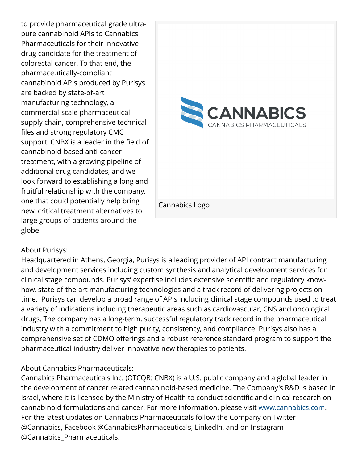to provide pharmaceutical grade ultrapure cannabinoid APIs to Cannabics Pharmaceuticals for their innovative drug candidate for the treatment of colorectal cancer. To that end, the pharmaceutically-compliant cannabinoid APIs produced by Purisys are backed by state-of-art manufacturing technology, a commercial-scale pharmaceutical supply chain, comprehensive technical files and strong regulatory CMC support. CNBX is a leader in the field of cannabinoid-based anti-cancer treatment, with a growing pipeline of additional drug candidates, and we look forward to establishing a long and fruitful relationship with the company, one that could potentially help bring new, critical treatment alternatives to large groups of patients around the globe.



### About Purisys:

Headquartered in Athens, Georgia, Purisys is a leading provider of API contract manufacturing and development services including custom synthesis and analytical development services for clinical stage compounds. Purisys' expertise includes extensive scientific and regulatory knowhow, state-of-the-art manufacturing technologies and a track record of delivering projects on time. Purisys can develop a broad range of APIs including clinical stage compounds used to treat a variety of indications including therapeutic areas such as cardiovascular, CNS and oncological drugs. The company has a long-term, successful regulatory track record in the pharmaceutical industry with a commitment to high purity, consistency, and compliance. Purisys also has a comprehensive set of CDMO offerings and a robust reference standard program to support the pharmaceutical industry deliver innovative new therapies to patients.

### About Cannabics Pharmaceuticals:

Cannabics Pharmaceuticals Inc. (OTCQB: CNBX) is a U.S. public company and a global leader in the development of cancer related cannabinoid-based medicine. The Company's R&D is based in Israel, where it is licensed by the Ministry of Health to conduct scientific and clinical research on cannabinoid formulations and cancer. For more information, please visit [www.cannabics.com.](http://www.cannabics.com) For the latest updates on Cannabics Pharmaceuticals follow the Company on Twitter @Cannabics, Facebook @CannabicsPharmaceuticals, LinkedIn, and on Instagram @Cannabics\_Pharmaceuticals.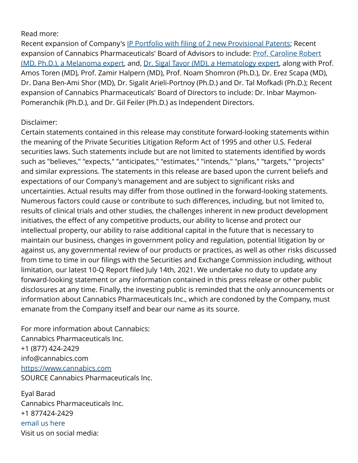#### Read more:

Recent expansion of Company's [IP Portfolio with filing of 2 new Provisional Patents](https://finance.yahoo.com/news/cannabics-pharmaceuticals-files-2-provisional-130500672.html); Recent expansion of Cannabics Pharmaceuticals' Board of Advisors to include: [Prof. Caroline Robert](https://finance.yahoo.com/news/world-renowned-melanoma-expert-joins-120000710.html) [\(MD, Ph.D.\), a Melanoma expert](https://finance.yahoo.com/news/world-renowned-melanoma-expert-joins-120000710.html), and, [Dr. Sigal Tavor \(MD\), a Hematology expert](https://finance.yahoo.com/news/hemato-oncology-expert-dr-sigal-125900831.html), along with Prof. Amos Toren (MD), Prof. Zamir Halpern (MD), Prof. Noam Shomron (Ph.D.), Dr. Erez Scapa (MD), Dr. Dana Ben-Ami Shor (MD), Dr. Sigalit Arieli-Portnoy (Ph.D.) and Dr. Tal Mofkadi (Ph.D.); Recent expansion of Cannabics Pharmaceuticals' Board of Directors to include: Dr. Inbar Maymon-Pomeranchik (Ph.D.), and Dr. Gil Feiler (Ph.D.) as Independent Directors.

## Disclaimer:

Certain statements contained in this release may constitute forward-looking statements within the meaning of the Private Securities Litigation Reform Act of 1995 and other U.S. Federal securities laws. Such statements include but are not limited to statements identified by words such as "believes," "expects," "anticipates," "estimates," "intends," "plans," "targets," "projects" and similar expressions. The statements in this release are based upon the current beliefs and expectations of our Company's management and are subject to significant risks and uncertainties. Actual results may differ from those outlined in the forward-looking statements. Numerous factors could cause or contribute to such differences, including, but not limited to, results of clinical trials and other studies, the challenges inherent in new product development initiatives, the effect of any competitive products, our ability to license and protect our intellectual property, our ability to raise additional capital in the future that is necessary to maintain our business, changes in government policy and regulation, potential litigation by or against us, any governmental review of our products or practices, as well as other risks discussed from time to time in our filings with the Securities and Exchange Commission including, without limitation, our latest 10-Q Report filed July 14th, 2021. We undertake no duty to update any forward-looking statement or any information contained in this press release or other public disclosures at any time. Finally, the investing public is reminded that the only announcements or information about Cannabics Pharmaceuticals Inc., which are condoned by the Company, must emanate from the Company itself and bear our name as its source.

For more information about Cannabics: Cannabics Pharmaceuticals Inc. +1 (877) 424-2429 info@cannabics.com <https://www.cannabics.com> SOURCE Cannabics Pharmaceuticals Inc.

Eyal Barad Cannabics Pharmaceuticals Inc. +1 877424-2429 [email us here](http://www.einpresswire.com/contact_author/3191324) Visit us on social media: